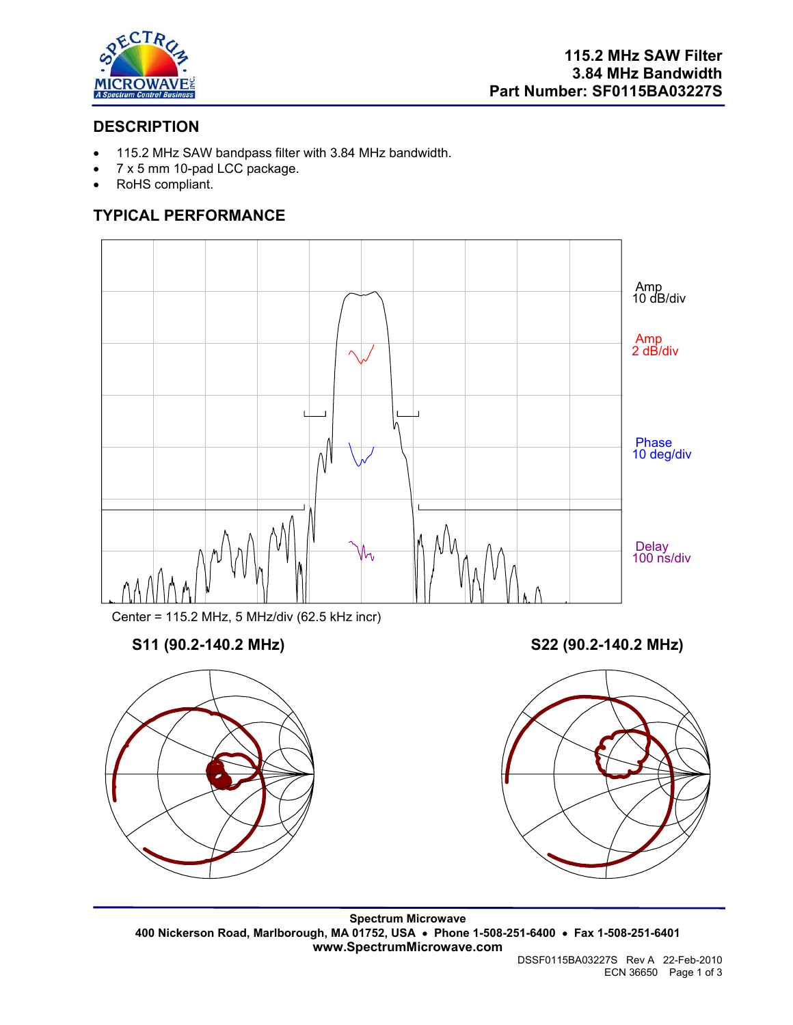

## **DESCRIPTION**

- 115.2 MHz SAW bandpass filter with 3.84 MHz bandwidth.
- 7 x 5 mm 10-pad LCC package.
- RoHS compliant.

# **TYPICAL PERFORMANCE**



Center = 115.2 MHz, 5 MHz/div (62.5 kHz incr)

## **S11 (90.2-140.2 MHz) S22 (90.2-140.2 MHz)**





**Spectrum Microwave 400 Nickerson Road, Marlborough, MA 01752, USA** • **Phone 1-508-251-6400** • **Fax 1-508-251-6401 www.SpectrumMicrowave.com** 

DSSF0115BA03227S Rev A 22-Feb-2010 ECN 36650 Page 1 of 3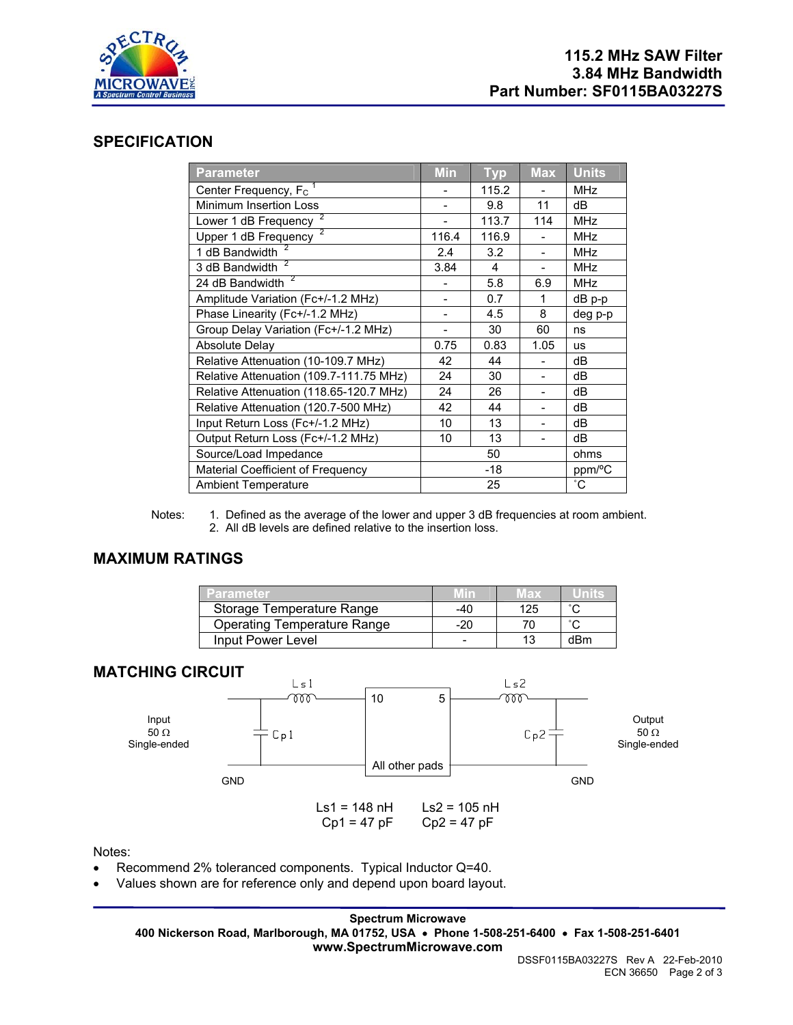

#### **SPECIFICATION**

| <b>Parameter</b>                        | <b>Min</b> | <b>Typ</b> | <b>Max</b>               | <b>Units</b> |
|-----------------------------------------|------------|------------|--------------------------|--------------|
| Center Frequency, F <sub>C</sub>        |            | 115.2      |                          | <b>MHz</b>   |
| Minimum Insertion Loss                  |            | 9.8        | 11                       | dB           |
| Lower 1 dB Frequency                    |            | 113.7      | 114                      | <b>MHz</b>   |
| 2<br>Upper 1 dB Frequency               | 116.4      | 116.9      |                          | <b>MHz</b>   |
| 1 dB Bandwidth                          | 2.4        | 3.2        | $\overline{a}$           | <b>MHz</b>   |
| 3 dB Bandwidth <sup>2</sup>             | 3.84       | 4          |                          | <b>MHz</b>   |
| 24 dB Bandwidth <sup>2</sup>            |            | 5.8        | 6.9                      | <b>MHz</b>   |
| Amplitude Variation (Fc+/-1.2 MHz)      |            | 0.7        | 1                        | dB p-p       |
| Phase Linearity (Fc+/-1.2 MHz)          |            | 4.5        | 8                        | deg p-p      |
| Group Delay Variation (Fc+/-1.2 MHz)    |            | 30         | 60                       | ns           |
| <b>Absolute Delay</b>                   | 0.75       | 0.83       | 1.05                     | <b>us</b>    |
| Relative Attenuation (10-109.7 MHz)     | 42         | 44         |                          | dB           |
| Relative Attenuation (109.7-111.75 MHz) | 24         | 30         | $\overline{\phantom{0}}$ | dB           |
| Relative Attenuation (118.65-120.7 MHz) | 24         | 26         |                          | dB           |
| Relative Attenuation (120.7-500 MHz)    | 42         | 44         |                          | dB           |
| Input Return Loss (Fc+/-1.2 MHz)        | 10         | 13         |                          | dB           |
| Output Return Loss (Fc+/-1.2 MHz)       | 10         | 13         | $\overline{\phantom{0}}$ | dB           |
| Source/Load Impedance                   | 50         |            | ohms                     |              |
| Material Coefficient of Frequency       | $-18$      |            |                          | ppm/°C       |
| <b>Ambient Temperature</b>              | 25         |            |                          | $^{\circ}$ C |

Notes: 1. Defined as the average of the lower and upper 3 dB frequencies at room ambient. 2. All dB levels are defined relative to the insertion loss.

#### **MAXIMUM RATINGS**

| Parameter                          |     | 18 X |                     |
|------------------------------------|-----|------|---------------------|
| Storage Temperature Range          | -40 | 125  | $\hat{\phantom{a}}$ |
| <b>Operating Temperature Range</b> | -20 |      |                     |
| Input Power Level                  |     |      | dBm                 |

### **MATCHING CIRCUIT**



Notes:

- Recommend 2% toleranced components. Typical Inductor Q=40.
- Values shown are for reference only and depend upon board layout.

**Spectrum Microwave 400 Nickerson Road, Marlborough, MA 01752, USA** • **Phone 1-508-251-6400** • **Fax 1-508-251-6401 www.SpectrumMicrowave.com**